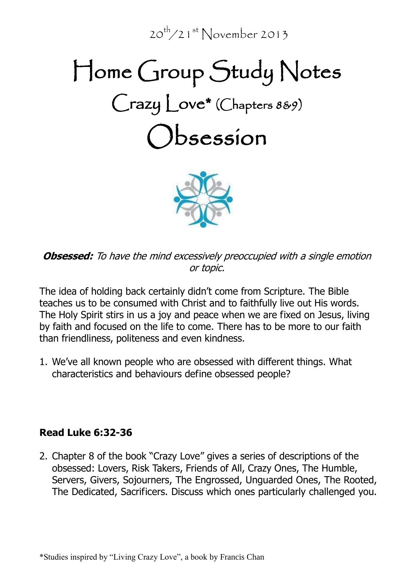$20^{th}/21^{st}$  November 2013

# Home Group Study Notes Crazy Love\* (Chapters 8&9) Obsession



**Obsessed:** To have the mind excessively preoccupied with a single emotion or topic.

The idea of holding back certainly didn't come from Scripture. The Bible teaches us to be consumed with Christ and to faithfully live out His words. The Holy Spirit stirs in us a joy and peace when we are fixed on Jesus, living by faith and focused on the life to come. There has to be more to our faith than friendliness, politeness and even kindness.

1. We've all known people who are obsessed with different things. What characteristics and behaviours define obsessed people?

# **Read Luke 6:32-36**

2. Chapter 8 of the book "Crazy Love" gives a series of descriptions of the obsessed: Lovers, Risk Takers, Friends of All, Crazy Ones, The Humble, Servers, Givers, Sojourners, The Engrossed, Unguarded Ones, The Rooted, The Dedicated, Sacrificers. Discuss which ones particularly challenged you.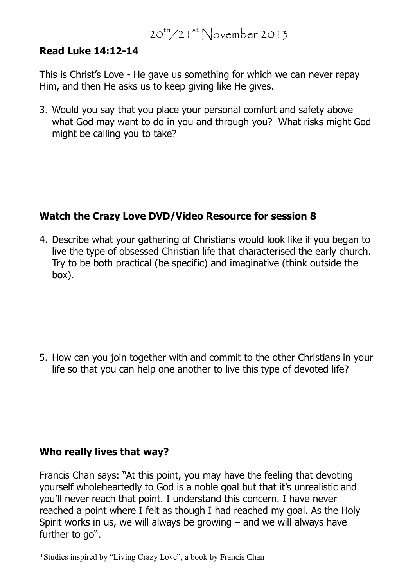# $20^{th}/21^{st}$  November 2013

#### **Read Luke 14:12-14**

This is Christ's Love - He gave us something for which we can never repay Him, and then He asks us to keep giving like He gives.

3. Would you say that you place your personal comfort and safety above what God may want to do in you and through you? What risks might God might be calling you to take?

# **Watch the Crazy Love DVD/Video Resource for session 8**

4. Describe what your gathering of Christians would look like if you began to live the type of obsessed Christian life that characterised the early church. Try to be both practical (be specific) and imaginative (think outside the box).

5. How can you join together with and commit to the other Christians in your life so that you can help one another to live this type of devoted life?

# **Who really lives that way?**

Francis Chan says: "At this point, you may have the feeling that devoting yourself wholeheartedly to God is a noble goal but that it's unrealistic and you'll never reach that point. I understand this concern. I have never reached a point where I felt as though I had reached my goal. As the Holy Spirit works in us, we will always be growing – and we will always have further to go".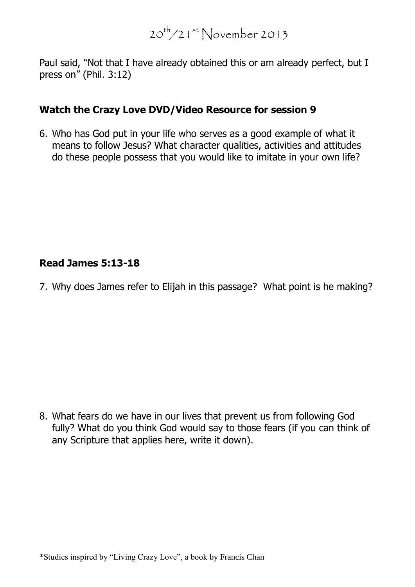Paul said, "Not that I have already obtained this or am already perfect, but I press on" (Phil. 3:12)

# **Watch the Crazy Love DVD/Video Resource for session 9**

6. Who has God put in your life who serves as a good example of what it means to follow Jesus? What character qualities, activities and attitudes do these people possess that you would like to imitate in your own life?

# **Read James 5:13-18**

7. Why does James refer to Elijah in this passage? What point is he making?

8. What fears do we have in our lives that prevent us from following God fully? What do you think God would say to those fears (if you can think of any Scripture that applies here, write it down).